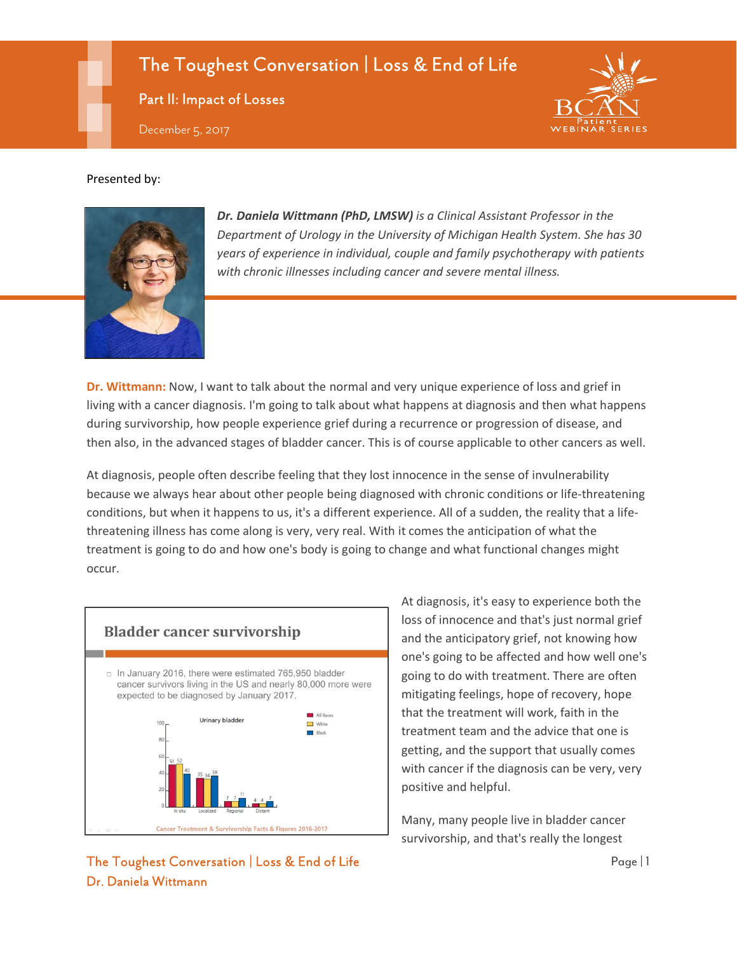# The Toughest Conversation | Loss & End of Life

Part II: Impact of Losses

December 5, 2017

#### Presented by:



*Dr. Daniela Wittmann (PhD, LMSW) is a Clinical Assistant Professor in the Department of Urology in the University of Michigan Health System. She has 30 years of experience in individual, couple and family psychotherapy with patients with chronic illnesses including cancer and severe mental illness.*

**Dr. Wittmann:** Now, I want to talk about the normal and very unique experience of loss and grief in living with a cancer diagnosis. I'm going to talk about what happens at diagnosis and then what happens during survivorship, how people experience grief during a recurrence or progression of disease, and then also, in the advanced stages of bladder cancer. This is of course applicable to other cancers as well.

At diagnosis, people often describe feeling that they lost innocence in the sense of invulnerability because we always hear about other people being diagnosed with chronic conditions or life-threatening conditions, but when it happens to us, it's a different experience. All of a sudden, the reality that a lifethreatening illness has come along is very, very real. With it comes the anticipation of what the treatment is going to do and how one's body is going to change and what functional changes might occur.



At diagnosis, it's easy to experience both the loss of innocence and that's just normal grief and the anticipatory grief, not knowing how one's going to be affected and how well one's going to do with treatment. There are often mitigating feelings, hope of recovery, hope that the treatment will work, faith in the treatment team and the advice that one is getting, and the support that usually comes with cancer if the diagnosis can be very, very positive and helpful.

Many, many people live in bladder cancer survivorship, and that's really the longest

#### The Toughest Conversation | Loss & End of Life Page | 1 Dr. Daniela Wittmann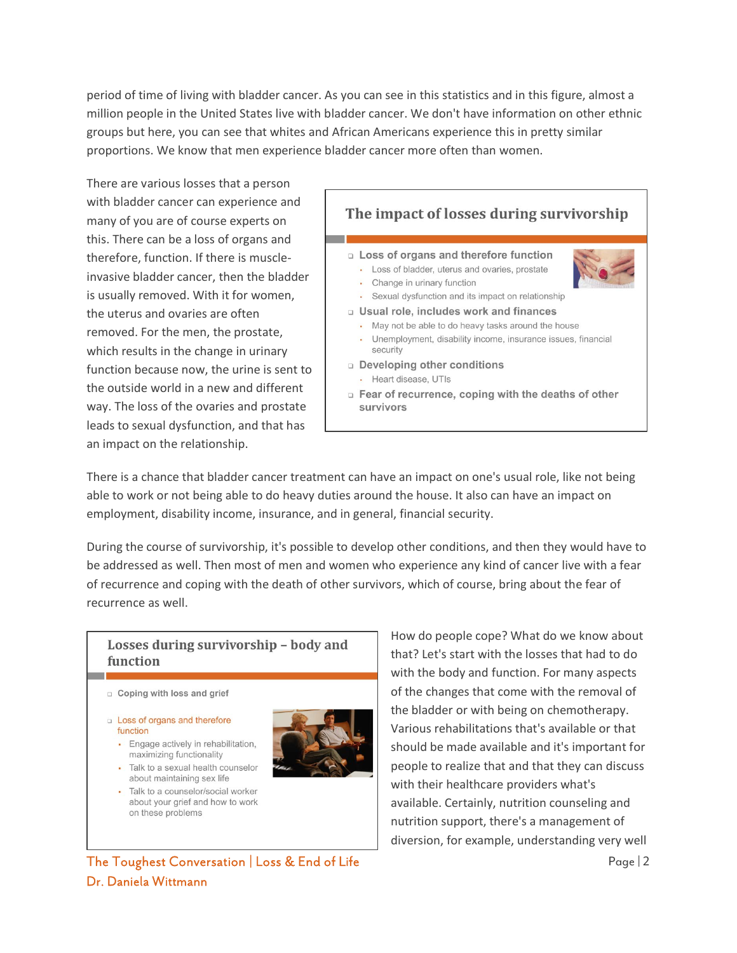period of time of living with bladder cancer. As you can see in this statistics and in this figure, almost a million people in the United States live with bladder cancer. We don't have information on other ethnic groups but here, you can see that whites and African Americans experience this in pretty similar proportions. We know that men experience bladder cancer more often than women.

There are various losses that a person with bladder cancer can experience and many of you are of course experts on this. There can be a loss of organs and therefore, function. If there is muscleinvasive bladder cancer, then the bladder is usually removed. With it for women, the uterus and ovaries are often removed. For the men, the prostate, which results in the change in urinary function because now, the urine is sent to the outside world in a new and different way. The loss of the ovaries and prostate leads to sexual dysfunction, and that has an impact on the relationship.



There is a chance that bladder cancer treatment can have an impact on one's usual role, like not being able to work or not being able to do heavy duties around the house. It also can have an impact on employment, disability income, insurance, and in general, financial security.

During the course of survivorship, it's possible to develop other conditions, and then they would have to be addressed as well. Then most of men and women who experience any kind of cancer live with a fear of recurrence and coping with the death of other survivors, which of course, bring about the fear of recurrence as well.

#### Losses during survivorship - body and function

- $\Box$  Coping with loss and grief
- **Loss of organs and therefore** function
	- Engage actively in rehabilitation, maximizing functionality
	- Talk to a sexual health counselor about maintaining sex life
	- · Talk to a counselor/social worker about your grief and how to work on these problems



How do people cope? What do we know about that? Let's start with the losses that had to do with the body and function. For many aspects of the changes that come with the removal of the bladder or with being on chemotherapy. Various rehabilitations that's available or that should be made available and it's important for people to realize that and that they can discuss with their healthcare providers what's available. Certainly, nutrition counseling and nutrition support, there's a management of diversion, for example, understanding very well

The Toughest Conversation | Loss & End of Life  $\frac{1}{2}$ Dr. Daniela Wittmann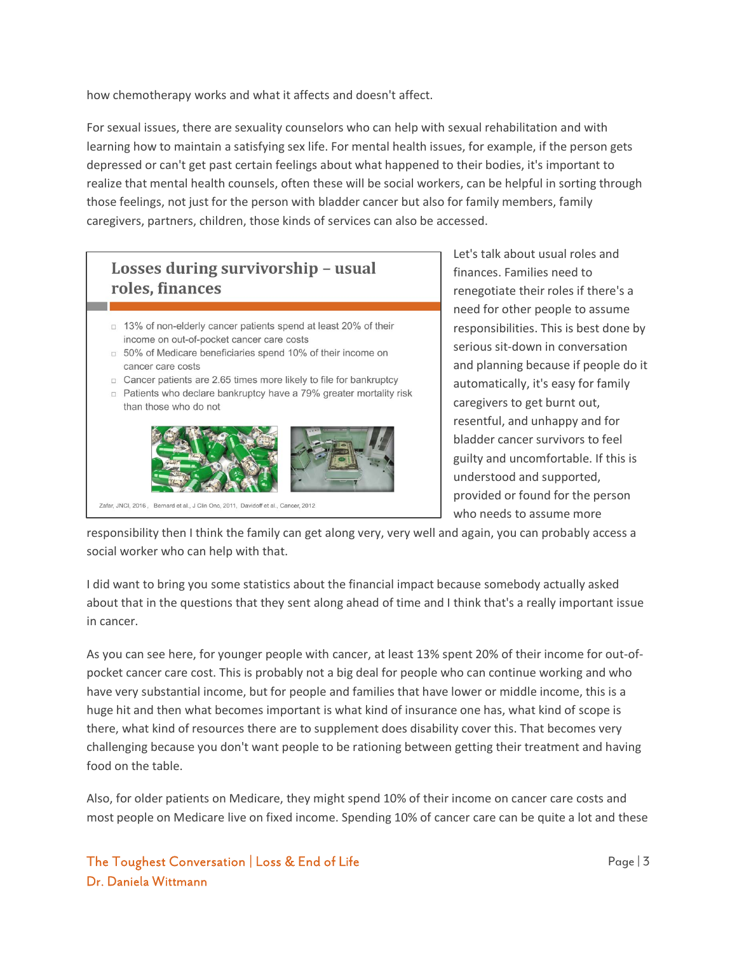how chemotherapy works and what it affects and doesn't affect.

For sexual issues, there are sexuality counselors who can help with sexual rehabilitation and with learning how to maintain a satisfying sex life. For mental health issues, for example, if the person gets depressed or can't get past certain feelings about what happened to their bodies, it's important to realize that mental health counsels, often these will be social workers, can be helpful in sorting through those feelings, not just for the person with bladder cancer but also for family members, family caregivers, partners, children, those kinds of services can also be accessed.

#### Losses during survivorship - usual roles, finances □ 13% of non-elderly cancer patients spend at least 20% of their income on out-of-pocket cancer care costs □ 50% of Medicare beneficiaries spend 10% of their income on cancer care costs □ Cancer patients are 2.65 times more likely to file for bankruptcy p Patients who declare bankruptcy have a 79% greater mortality risk than those who do not



Zafar, JNCI, 2016, Bernard et al., J Clin Onc, 2011, Davidoff et al., Cancer, 2012

Let's talk about usual roles and finances. Families need to renegotiate their roles if there's a need for other people to assume responsibilities. This is best done by serious sit-down in conversation and planning because if people do it automatically, it's easy for family caregivers to get burnt out, resentful, and unhappy and for bladder cancer survivors to feel guilty and uncomfortable. If this is understood and supported, provided or found for the person who needs to assume more

responsibility then I think the family can get along very, very well and again, you can probably access a social worker who can help with that.

I did want to bring you some statistics about the financial impact because somebody actually asked about that in the questions that they sent along ahead of time and I think that's a really important issue in cancer.

As you can see here, for younger people with cancer, at least 13% spent 20% of their income for out-ofpocket cancer care cost. This is probably not a big deal for people who can continue working and who have very substantial income, but for people and families that have lower or middle income, this is a huge hit and then what becomes important is what kind of insurance one has, what kind of scope is there, what kind of resources there are to supplement does disability cover this. That becomes very challenging because you don't want people to be rationing between getting their treatment and having food on the table.

Also, for older patients on Medicare, they might spend 10% of their income on cancer care costs and most people on Medicare live on fixed income. Spending 10% of cancer care can be quite a lot and these

#### The Toughest Conversation | Loss & End of Life Page | 3 Dr. Daniela Wittmann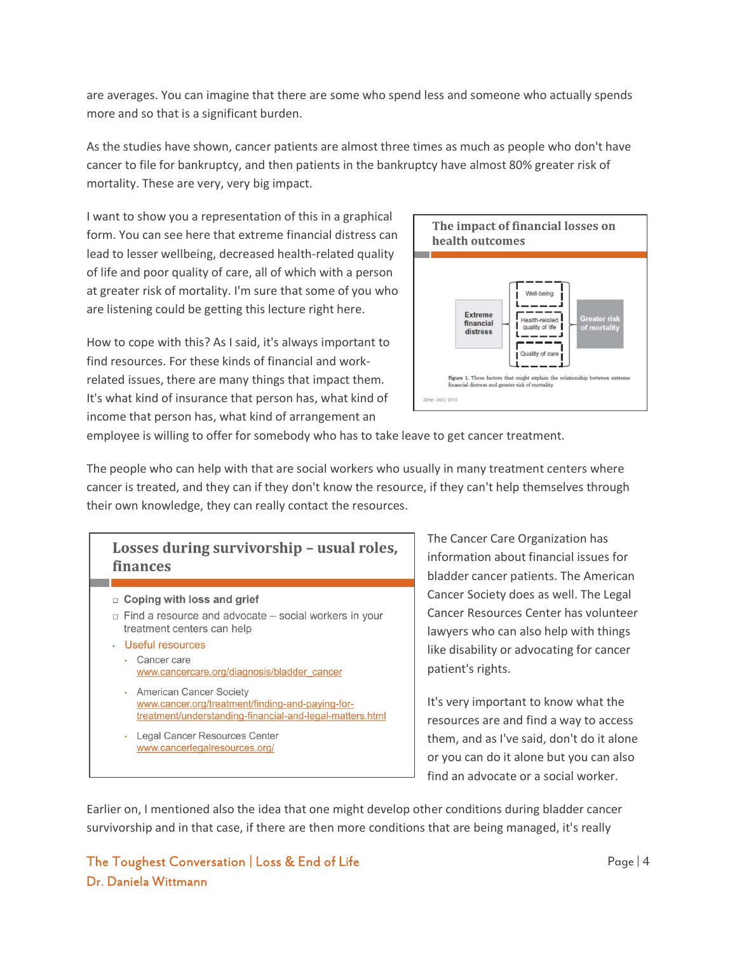are averages. You can imagine that there are some who spend less and someone who actually spends more and so that is a significant burden.

As the studies have shown, cancer patients are almost three times as much as people who don't have cancer to file for bankruptcy, and then patients in the bankruptcy have almost 80% greater risk of mortality. These are very, very big impact.

I want to show you a representation of this in a graphical form. You can see here that extreme financial distress can lead to lesser wellbeing, decreased health-related quality of life and poor quality of care, all of which with a person at greater risk of mortality. I'm sure that some of you who are listening could be getting this lecture right here.

How to cope with this? As I said, it's always important to find resources. For these kinds of financial and workrelated issues, there are many things that impact them. It's what kind of insurance that person has, what kind of income that person has, what kind of arrangement an



employee is willing to offer for somebody who has to take leave to get cancer treatment.

The people who can help with that are social workers who usually in many treatment centers where cancer is treated, and they can if they don't know the resource, if they can't help themselves through their own knowledge, they can really contact the resources.

### Losses during survivorship - usual roles, finances  $\Box$  Coping with loss and grief  $\Box$  Find a resource and advocate  $-$  social workers in your treatment centers can help · Useful resources • Cancer care www.cancercare.org/diagnosis/bladder\_cancer • American Cancer Society www.cancer.org/treatment/finding-and-paying-fortreatment/understanding-financial-and-legal-matters.html · Legal Cancer Resources Center www.cancerlegalresources.org/

The Cancer Care Organization has information about financial issues for bladder cancer patients. The American Cancer Society does as well. The Legal Cancer Resources Center has volunteer lawyers who can also help with things like disability or advocating for cancer patient's rights.

It's very important to know what the resources are and find a way to access them, and as I've said, don't do it alone or you can do it alone but you can also find an advocate or a social worker.

Earlier on, I mentioned also the idea that one might develop other conditions during bladder cancer survivorship and in that case, if there are then more conditions that are being managed, it's really

#### The Toughest Conversation | Loss & End of Life Page | 4 Dr. Daniela Wittmann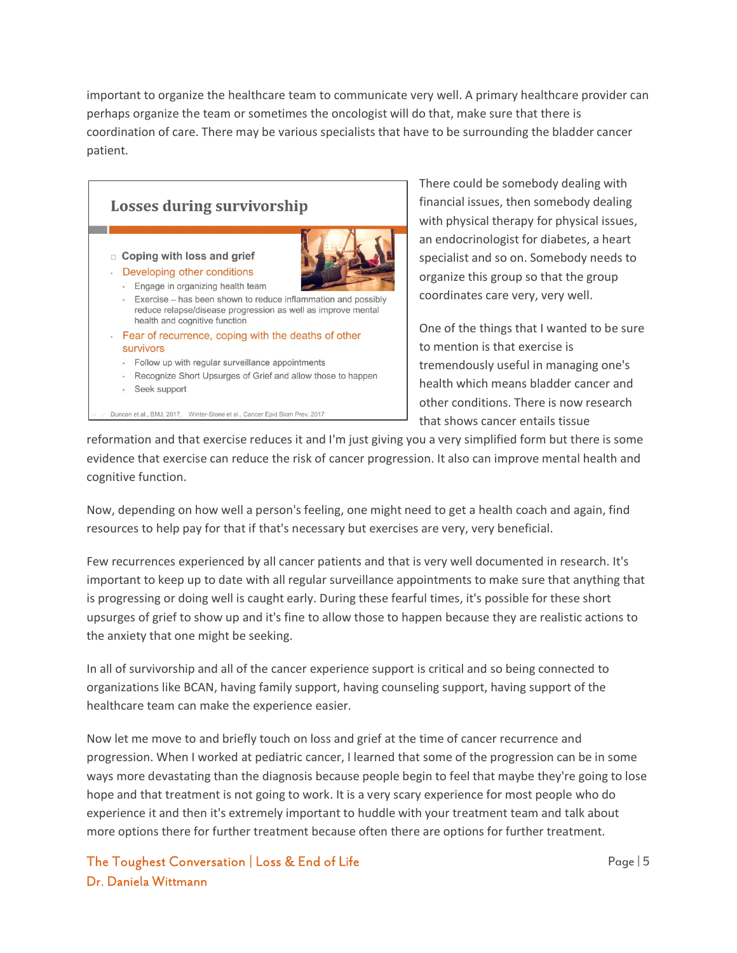important to organize the healthcare team to communicate very well. A primary healthcare provider can perhaps organize the team or sometimes the oncologist will do that, make sure that there is coordination of care. There may be various specialists that have to be surrounding the bladder cancer patient.



There could be somebody dealing with financial issues, then somebody dealing with physical therapy for physical issues, an endocrinologist for diabetes, a heart specialist and so on. Somebody needs to organize this group so that the group coordinates care very, very well.

One of the things that I wanted to be sure to mention is that exercise is tremendously useful in managing one's health which means bladder cancer and other conditions. There is now research that shows cancer entails tissue

reformation and that exercise reduces it and I'm just giving you a very simplified form but there is some evidence that exercise can reduce the risk of cancer progression. It also can improve mental health and cognitive function.

Now, depending on how well a person's feeling, one might need to get a health coach and again, find resources to help pay for that if that's necessary but exercises are very, very beneficial.

Few recurrences experienced by all cancer patients and that is very well documented in research. It's important to keep up to date with all regular surveillance appointments to make sure that anything that is progressing or doing well is caught early. During these fearful times, it's possible for these short upsurges of grief to show up and it's fine to allow those to happen because they are realistic actions to the anxiety that one might be seeking.

In all of survivorship and all of the cancer experience support is critical and so being connected to organizations like BCAN, having family support, having counseling support, having support of the healthcare team can make the experience easier.

Now let me move to and briefly touch on loss and grief at the time of cancer recurrence and progression. When I worked at pediatric cancer, I learned that some of the progression can be in some ways more devastating than the diagnosis because people begin to feel that maybe they're going to lose hope and that treatment is not going to work. It is a very scary experience for most people who do experience it and then it's extremely important to huddle with your treatment team and talk about more options there for further treatment because often there are options for further treatment.

The Toughest Conversation | Loss & End of Life Page | 5 Dr. Daniela Wittmann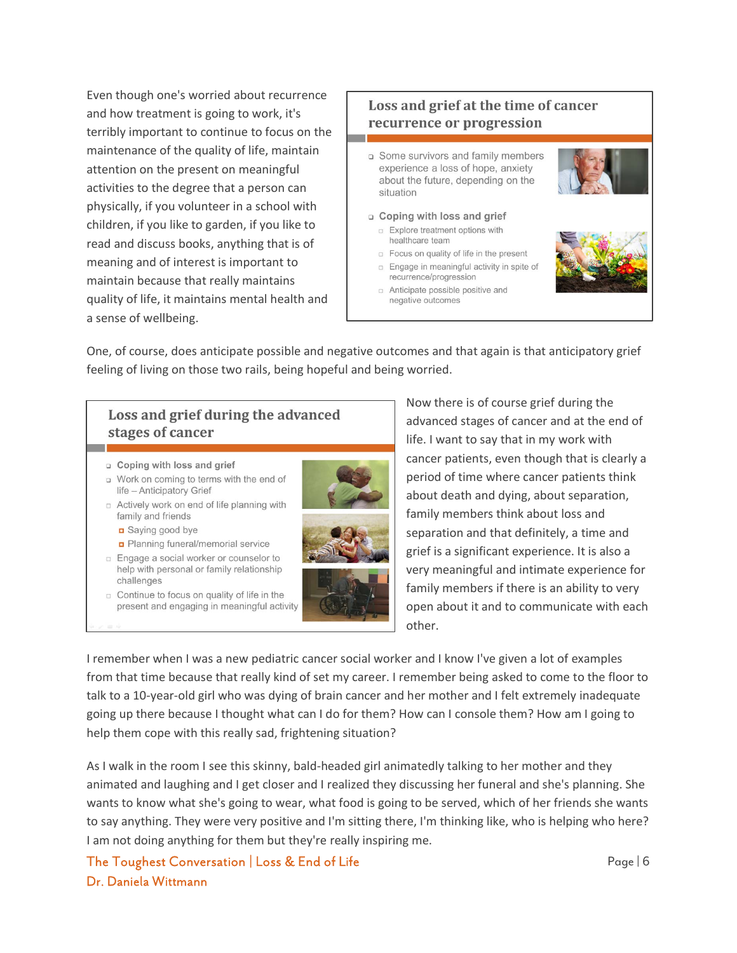Even though one's worried about recurrence and how treatment is going to work, it's terribly important to continue to focus on the maintenance of the quality of life, maintain attention on the present on meaningful activities to the degree that a person can physically, if you volunteer in a school with children, if you like to garden, if you like to read and discuss books, anything that is of meaning and of interest is important to maintain because that really maintains quality of life, it maintains mental health and a sense of wellbeing.

#### Loss and grief at the time of cancer recurrence or progression

- □ Some survivors and family members experience a loss of hope, anxiety about the future, depending on the situation
- n Coping with loss and grief Explore treatment options with
	- healthcare team
	- p Focus on quality of life in the present **Engage in meaningful activity in spite of** recurrence/progression
	- n Anticipate possible positive and negative outcomes





One, of course, does anticipate possible and negative outcomes and that again is that anticipatory grief feeling of living on those two rails, being hopeful and being worried.

#### Loss and grief during the advanced stages of cancer

- a Coping with loss and grief
- u Work on coming to terms with the end of life - Anticipatory Grief
- □ Actively work on end of life planning with family and friends
	- Saying good bye
	- Planning funeral/memorial service
- □ Engage a social worker or counselor to help with personal or family relationship challenges
- c Continue to focus on quality of life in the present and engaging in meaningful activity



Now there is of course grief during the advanced stages of cancer and at the end of life. I want to say that in my work with cancer patients, even though that is clearly a period of time where cancer patients think about death and dying, about separation, family members think about loss and separation and that definitely, a time and grief is a significant experience. It is also a very meaningful and intimate experience for family members if there is an ability to very open about it and to communicate with each other.

I remember when I was a new pediatric cancer social worker and I know I've given a lot of examples from that time because that really kind of set my career. I remember being asked to come to the floor to talk to a 10-year-old girl who was dying of brain cancer and her mother and I felt extremely inadequate going up there because I thought what can I do for them? How can I console them? How am I going to help them cope with this really sad, frightening situation?

As I walk in the room I see this skinny, bald-headed girl animatedly talking to her mother and they animated and laughing and I get closer and I realized they discussing her funeral and she's planning. She wants to know what she's going to wear, what food is going to be served, which of her friends she wants to say anything. They were very positive and I'm sitting there, I'm thinking like, who is helping who here? I am not doing anything for them but they're really inspiring me.

The Toughest Conversation | Loss & End of Life Page | 6 November 2014 10:00 Page | 6 Dr. Daniela Wittmann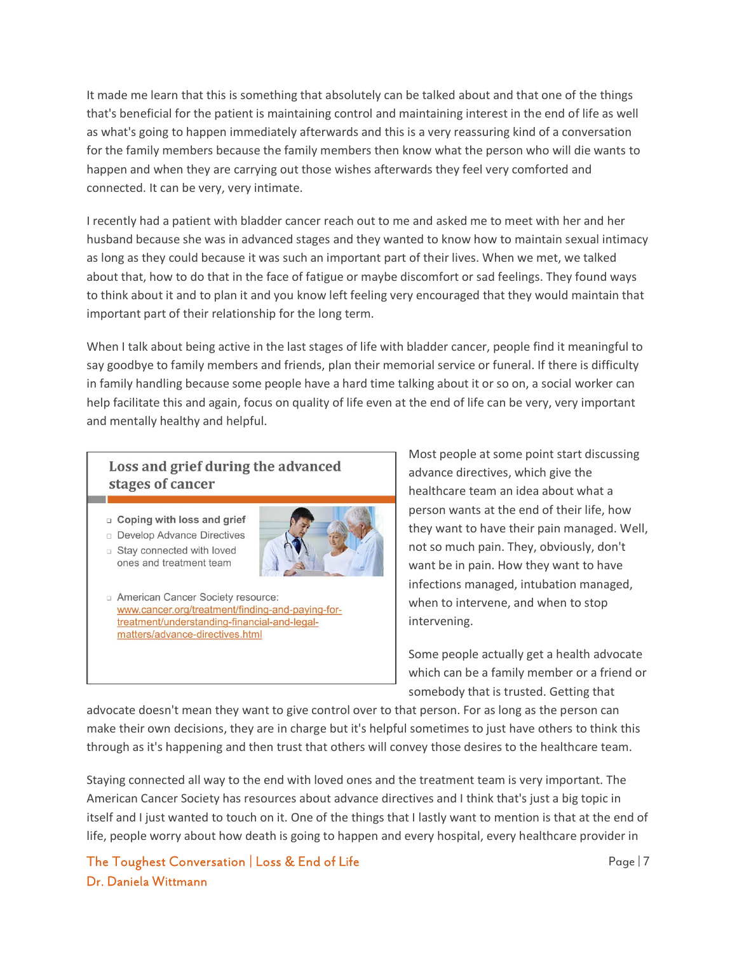It made me learn that this is something that absolutely can be talked about and that one of the things that's beneficial for the patient is maintaining control and maintaining interest in the end of life as well as what's going to happen immediately afterwards and this is a very reassuring kind of a conversation for the family members because the family members then know what the person who will die wants to happen and when they are carrying out those wishes afterwards they feel very comforted and connected. It can be very, very intimate.

I recently had a patient with bladder cancer reach out to me and asked me to meet with her and her husband because she was in advanced stages and they wanted to know how to maintain sexual intimacy as long as they could because it was such an important part of their lives. When we met, we talked about that, how to do that in the face of fatigue or maybe discomfort or sad feelings. They found ways to think about it and to plan it and you know left feeling very encouraged that they would maintain that important part of their relationship for the long term.

When I talk about being active in the last stages of life with bladder cancer, people find it meaningful to say goodbye to family members and friends, plan their memorial service or funeral. If there is difficulty in family handling because some people have a hard time talking about it or so on, a social worker can help facilitate this and again, focus on quality of life even at the end of life can be very, very important and mentally healthy and helpful.

#### Loss and grief during the advanced stages of cancer

- **Q** Coping with loss and grief
- Develop Advance Directives
- Stay connected with loved ones and treatment team



American Cancer Society resource: www.cancer.org/treatment/finding-and-paying-fortreatment/understanding-financial-and-legalmatters/advance-directives.html

Most people at some point start discussing advance directives, which give the healthcare team an idea about what a person wants at the end of their life, how they want to have their pain managed. Well, not so much pain. They, obviously, don't want be in pain. How they want to have infections managed, intubation managed, when to intervene, and when to stop intervening.

Some people actually get a health advocate which can be a family member or a friend or somebody that is trusted. Getting that

advocate doesn't mean they want to give control over to that person. For as long as the person can make their own decisions, they are in charge but it's helpful sometimes to just have others to think this through as it's happening and then trust that others will convey those desires to the healthcare team.

Staying connected all way to the end with loved ones and the treatment team is very important. The American Cancer Society has resources about advance directives and I think that's just a big topic in itself and I just wanted to touch on it. One of the things that I lastly want to mention is that at the end of life, people worry about how death is going to happen and every hospital, every healthcare provider in

The Toughest Conversation | Loss & End of Life Page | 7 November 2014 1998 | 7 November 2014 Dr. Daniela Wittmann